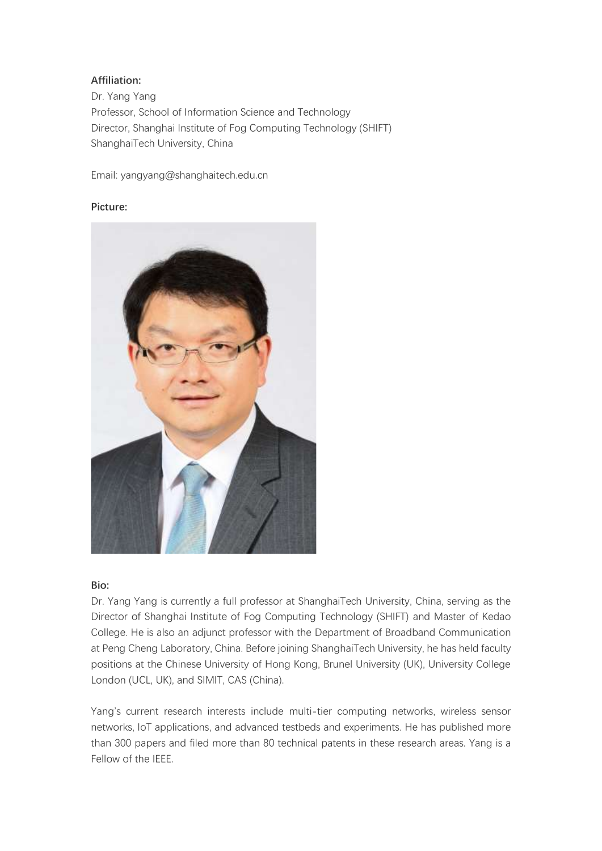### **Affiliation:**

Dr. Yang Yang Professor, School of Information Science and Technology Director, Shanghai Institute of Fog Computing Technology (SHIFT) ShanghaiTech University, China

Email: yangyang@shanghaitech.edu.cn

### **Picture:**



#### **Bio:**

Dr. Yang Yang is currently a full professor at ShanghaiTech University, China, serving as the Director of Shanghai Institute of Fog Computing Technology (SHIFT) and Master of Kedao College. He is also an adjunct professor with the Department of Broadband Communication at Peng Cheng Laboratory, China. Before joining ShanghaiTech University, he has held faculty positions at the Chinese University of Hong Kong, Brunel University (UK), University College London (UCL, UK), and SIMIT, CAS (China).

Yang's current research interests include multi-tier computing networks, wireless sensor networks, IoT applications, and advanced testbeds and experiments. He has published more than 300 papers and filed more than 80 technical patents in these research areas. Yang is a Fellow of the IEEE.